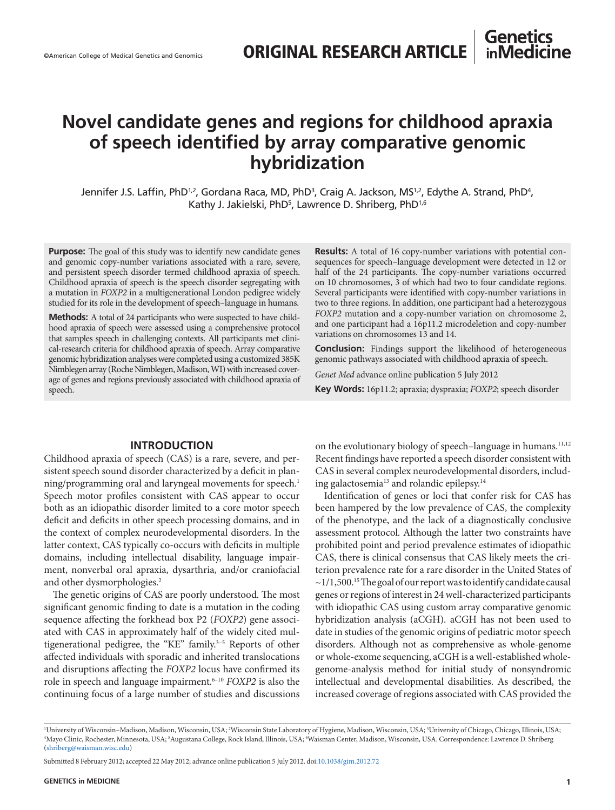## **Genetics inMedicine**

# **Novel candidate genes and regions for childhood apraxia of speech identified by array comparative genomic hybridization**

Jennifer J.S. Laffin, PhD½, Gordana Raca, MD, PhD¾, Craig A. Jackson, MS½, Edythe A. Strand, PhD4, Kathy J. Jakielski, PhD<sup>5</sup>, Lawrence D. Shriberg, PhD<sup>1,6</sup>

**Purpose:** The goal of this study was to identify new candidate genes and genomic copy-number variations associated with a rare, severe, and persistent speech disorder termed childhood apraxia of speech. Childhood apraxia of speech is the speech disorder segregating with a mutation in *FOXP2* in a multigenerational London pedigree widely studied for its role in the development of speech–language in humans.

**Methods:** A total of 24 participants who were suspected to have childhood apraxia of speech were assessed using a comprehensive protocol that samples speech in challenging contexts. All participants met clinical-research criteria for childhood apraxia of speech. Array comparative genomic hybridization analyses were completed using a customized 385K Nimblegen array (Roche Nimblegen, Madison, WI) with increased coverage of genes and regions previously associated with childhood apraxia of speech.

#### **Results:** A total of 16 copy-number variations with potential consequences for speech–language development were detected in 12 or half of the 24 participants. The copy-number variations occurred on 10 chromosomes, 3 of which had two to four candidate regions. Several participants were identified with copy-number variations in two to three regions. In addition, one participant had a heterozygous *FOXP2* mutation and a copy-number variation on chromosome 2, and one participant had a 16p11.2 microdeletion and copy-number variations on chromosomes 13 and 14.

**Conclusion:** Findings support the likelihood of heterogeneous genomic pathways associated with childhood apraxia of speech.

*Genet Med* advance online publication 5 July 2012

**Key Words:** 16p11.2; apraxia; dyspraxia; *FOXP2*; speech disorder

### **INTRODUCTION**

Childhood apraxia of speech (CAS) is a rare, severe, and persistent speech sound disorder characterized by a deficit in planning/programming oral and laryngeal movements for speech.<sup>1</sup> Speech motor profiles consistent with CAS appear to occur both as an idiopathic disorder limited to a core motor speech deficit and deficits in other speech processing domains, and in the context of complex neurodevelopmental disorders. In the latter context, CAS typically co-occurs with deficits in multiple domains, including intellectual disability, language impairment, nonverbal oral apraxia, dysarthria, and/or craniofacial and other dysmorphologies.<sup>2</sup>

The genetic origins of CAS are poorly understood. The most significant genomic finding to date is a mutation in the coding sequence affecting the forkhead box P2 (*FOXP2*) gene associated with CAS in approximately half of the widely cited multigenerational pedigree, the "KE" family.<sup>3-5</sup> Reports of other affected individuals with sporadic and inherited translocations and disruptions affecting the *FOXP2* locus have confirmed its role in speech and language impairment.<sup>6-10</sup> *FOXP2* is also the continuing focus of a large number of studies and discussions on the evolutionary biology of speech-language in humans.<sup>11,12</sup> Recent findings have reported a speech disorder consistent with CAS in several complex neurodevelopmental disorders, including galactosemia<sup>13</sup> and rolandic epilepsy.<sup>14</sup>

Identification of genes or loci that confer risk for CAS has been hampered by the low prevalence of CAS, the complexity of the phenotype, and the lack of a diagnostically conclusive assessment protocol. Although the latter two constraints have prohibited point and period prevalence estimates of idiopathic CAS, there is clinical consensus that CAS likely meets the criterion prevalence rate for a rare disorder in the United States of  $\sim$ 1/1,500.<sup>15</sup> The goal of our report was to identify candidate causal genes or regions of interest in 24 well-characterized participants with idiopathic CAS using custom array comparative genomic hybridization analysis (aCGH). aCGH has not been used to date in studies of the genomic origins of pediatric motor speech disorders. Although not as comprehensive as whole-genome or whole-exome sequencing, aCGH is a well-established wholegenome-analysis method for initial study of nonsyndromic intellectual and developmental disabilities. As described, the increased coverage of regions associated with CAS provided the

<sup>&</sup>lt;sup>1</sup>University of Wisconsin–Madison, Madison, Wisconsin, USA; <sup>2</sup>Wisconsin State Laboratory of Hygiene, Madison, Wisconsin, USA; <sup>3</sup>University of Chicago, Chicago, Illinois, USA; 2016), USA; 2016.<br>"Mayo Clinic Rochester Min Mayo Clinic, Rochester, Minnesota, USA; <sup>5</sup>Augustana College, Rock Island, Illinois, USA; <sup>6</sup>Waisman Center, Madison, Wisconsin, USA. Correspondence: Lawrence D. Shriberg ([shriberg@waisman.wisc.edu](mailto:shriberg@waisman.wisc.edu))

Submitted 8 February 2012; accepted 22 May 2012; advance online publication 5 July 2012. doi[:10.1038/gim.2012.72](http://www.nature.com/doifinder/10.1038/gim.2012.72)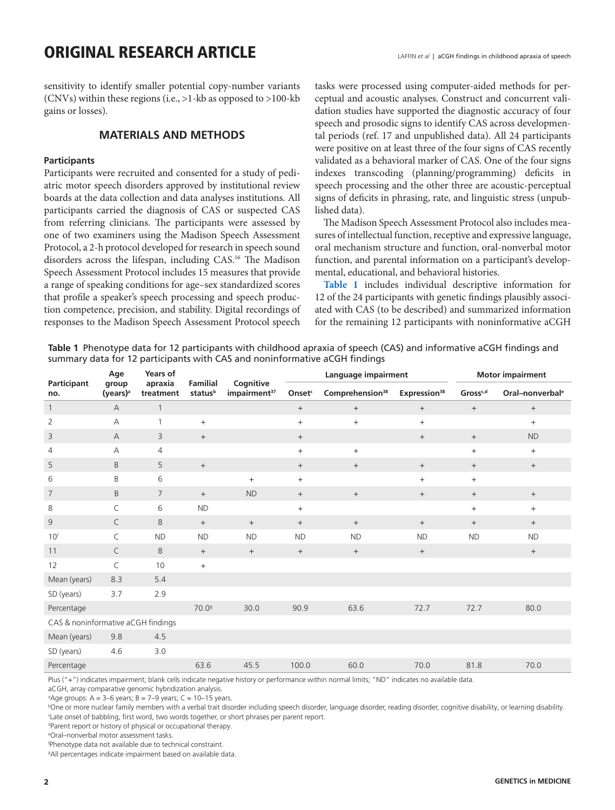# <span id="page-1-0"></span>ORIGINAL RESEARCH ARTICLE LAFFIN *et al* | aCGH findings in childhood apraxia of speech

sensitivity to identify smaller potential copy-number variants (CNVs) within these regions (i.e., >1-kb as opposed to >100-kb gains or losses).

## **MATERIALS AND METHODS**

#### **Participants**

Participants were recruited and consented for a study of pediatric motor speech disorders approved by institutional review boards at the data collection and data analyses institutions. All participants carried the diagnosis of CAS or suspected CAS from referring clinicians. The participants were assessed by one of two examiners using the Madison Speech Assessment Protocol, a 2-h protocol developed for research in speech sound disorders across the lifespan, including CAS.16 The Madison Speech Assessment Protocol includes 15 measures that provide a range of speaking conditions for age–sex standardized scores that profile a speaker's speech processing and speech production competence, precision, and stability. Digital recordings of responses to the Madison Speech Assessment Protocol speech

tasks were processed using computer-aided methods for perceptual and acoustic analyses. Construct and concurrent validation studies have supported the diagnostic accuracy of four speech and prosodic signs to identify CAS across developmental periods (ref. 17 and unpublished data). All 24 participants were positive on at least three of the four signs of CAS recently validated as a behavioral marker of CAS. One of the four signs indexes transcoding (planning/programming) deficits in speech processing and the other three are acoustic-perceptual signs of deficits in phrasing, rate, and linguistic stress (unpublished data).

The Madison Speech Assessment Protocol also includes measures of intellectual function, receptive and expressive language, oral mechanism structure and function, oral-nonverbal motor function, and parental information on a participant's developmental, educational, and behavioral histories.

**Table 1** includes individual descriptive information for 12 of the 24 participants with genetic findings plausibly associated with CAS (to be described) and summarized information for the remaining 12 participants with noninformative aCGH

**Table 1** Phenotype data for 12 participants with childhood apraxia of speech (CAS) and informative aCGH findings and summary data for 12 participants with CAS and noninformative aCGH findings

|                                    | Age                           | Years of             | <b>Familial</b>   |                                       |                    | Language impairment         |                          |                      | <b>Motor impairment</b>          |
|------------------------------------|-------------------------------|----------------------|-------------------|---------------------------------------|--------------------|-----------------------------|--------------------------|----------------------|----------------------------------|
| Participant<br>no.                 | group<br>(years) <sup>a</sup> | apraxia<br>treatment | statusb           | Cognitive<br>impairment <sup>37</sup> | Onset <sup>c</sup> | Comprehension <sup>38</sup> | Expression <sup>38</sup> | Gross <sup>c,d</sup> | Oral-nonverbal <sup>e</sup>      |
| $\mathbf{1}$                       | $\mathsf{A}$                  | $\mathbf{1}$         |                   |                                       | $\qquad \qquad +$  | $+$                         | $^{+}$                   | $^{+}$               | $\qquad \qquad +$                |
| $\overline{2}$                     | $\overline{A}$                | $\mathbf{1}$         | $+$               |                                       | $+$                | $+$                         | $+$                      |                      | $+$                              |
| 3                                  | $\mathsf{A}$                  | 3                    | $+$               |                                       | $\qquad \qquad +$  |                             | $+$                      | $\qquad \qquad +$    | <b>ND</b>                        |
| $\overline{4}$                     | А                             | 4                    |                   |                                       | $\qquad \qquad +$  | $^{+}$                      |                          | $+$                  | $\begin{array}{c} + \end{array}$ |
| 5                                  | B                             | 5                    | $\boldsymbol{+}$  |                                       | $^{+}$             | $+$                         | $^{+}$                   | $^{+}$               | $+$                              |
| 6                                  | B                             | 6                    |                   | $\qquad \qquad +$                     | $+$                |                             | $+$                      | $+$                  |                                  |
| $\overline{7}$                     | B                             | $\overline{7}$       | $+$               | <b>ND</b>                             | $^{+}$             | $+$                         | $^{+}$                   | $\qquad \qquad +$    | $\qquad \qquad +$                |
| 8                                  | C                             | 6                    | <b>ND</b>         |                                       | $+$                |                             |                          | $+$                  | $+$                              |
| 9                                  | C                             | $\,8\,$              | $^{+}$            | $+$                                   | $^{+}$             | $^{+}$                      | $^{+}$                   | $^{+}$               | $\qquad \qquad +$                |
| 10 <sup>f</sup>                    | C                             | <b>ND</b>            | <b>ND</b>         | <b>ND</b>                             | <b>ND</b>          | <b>ND</b>                   | <b>ND</b>                | <b>ND</b>            | <b>ND</b>                        |
| 11                                 | C                             | $\,8\,$              | $\qquad \qquad +$ | $^{+}$                                | $^{+}$             | $+$                         | $^{+}$                   |                      | $^+$                             |
| 12                                 | C                             | 10                   | $+$               |                                       |                    |                             |                          |                      |                                  |
| Mean (years)                       | 8.3                           | 5.4                  |                   |                                       |                    |                             |                          |                      |                                  |
| SD (years)                         | 3.7                           | 2.9                  |                   |                                       |                    |                             |                          |                      |                                  |
| Percentage                         |                               |                      | 70.0 <sup>9</sup> | 30.0                                  | 90.9               | 63.6                        | 72.7                     | 72.7                 | 80.0                             |
| CAS & noninformative aCGH findings |                               |                      |                   |                                       |                    |                             |                          |                      |                                  |
| Mean (years)                       | 9.8                           | 4.5                  |                   |                                       |                    |                             |                          |                      |                                  |
| SD (years)                         | 4.6                           | 3.0                  |                   |                                       |                    |                             |                          |                      |                                  |
| Percentage                         |                               |                      | 63.6              | 45.5                                  | 100.0              | 60.0                        | 70.0                     | 81.8                 | 70.0                             |

Plus ("+") indicates impairment; blank cells indicate negative history or performance within normal limits; "ND" indicates no available data.

aCGH, array comparative genomic hybridization analysis.

a Age groups: A = 3–6 years; B = 7–9 years; C = 10–15 years.

b One or more nuclear family members with a verbal trait disorder including speech disorder, language disorder, reading disorder, cognitive disability, or learning disability. c Late onset of babbling, first word, two words together, or short phrases per parent report.

d Parent report or history of physical or occupational therapy.

e Oral–nonverbal motor assessment tasks.

f Phenotype data not available due to technical constraint.

g All percentages indicate impairment based on available data.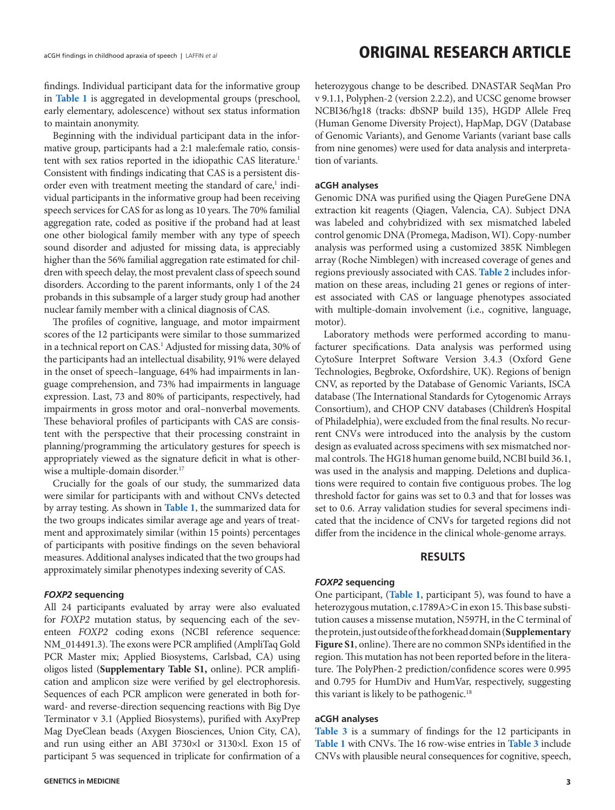# aCGH findings in childhood apraxia of speech | LAFFIN *et al* **CHARCH ARTICLE**

findings. Individual participant data for the informative group in **[Table 1](#page-1-0)** is aggregated in developmental groups (preschool, early elementary, adolescence) without sex status information to maintain anonymity.

Beginning with the individual participant data in the informative group, participants had a 2:1 male:female ratio, consistent with sex ratios reported in the idiopathic CAS literature.<sup>1</sup> Consistent with findings indicating that CAS is a persistent disorder even with treatment meeting the standard of care,<sup>1</sup> individual participants in the informative group had been receiving speech services for CAS for as long as 10 years. The 70% familial aggregation rate, coded as positive if the proband had at least one other biological family member with any type of speech sound disorder and adjusted for missing data, is appreciably higher than the 56% familial aggregation rate estimated for children with speech delay, the most prevalent class of speech sound disorders. According to the parent informants, only 1 of the 24 probands in this subsample of a larger study group had another nuclear family member with a clinical diagnosis of CAS.

The profiles of cognitive, language, and motor impairment scores of the 12 participants were similar to those summarized in a technical report on CAS.1 Adjusted for missing data, 30% of the participants had an intellectual disability, 91% were delayed in the onset of speech–language, 64% had impairments in language comprehension, and 73% had impairments in language expression. Last, 73 and 80% of participants, respectively, had impairments in gross motor and oral–nonverbal movements. These behavioral profiles of participants with CAS are consistent with the perspective that their processing constraint in planning/programming the articulatory gestures for speech is appropriately viewed as the signature deficit in what is otherwise a multiple-domain disorder.<sup>17</sup>

Crucially for the goals of our study, the summarized data were similar for participants with and without CNVs detected by array testing. As shown in **[Table 1](#page-1-0)**, the summarized data for the two groups indicates similar average age and years of treatment and approximately similar (within 15 points) percentages of participants with positive findings on the seven behavioral measures. Additional analyses indicated that the two groups had approximately similar phenotypes indexing severity of CAS.

#### *FOXP2* **sequencing**

All 24 participants evaluated by array were also evaluated for *FOXP2* mutation status, by sequencing each of the seventeen *FOXP2* coding exons (NCBI reference sequence: NM\_014491.3). The exons were PCR amplified (AmpliTaq Gold PCR Master mix; Applied Biosystems, Carlsbad, CA) using oligos listed (**Supplementary Table S1,** online). PCR amplification and amplicon size were verified by gel electrophoresis. Sequences of each PCR amplicon were generated in both forward- and reverse-direction sequencing reactions with Big Dye Terminator v 3.1 (Applied Biosystems), purified with AxyPrep Mag DyeClean beads (Axygen Biosciences, Union City, CA), and run using either an ABI 3730×l or 3130×l. Exon 15 of participant 5 was sequenced in triplicate for confirmation of a heterozygous change to be described. DNASTAR SeqMan Pro v 9.1.1, Polyphen-2 (version 2.2.2), and UCSC genome browser NCBI36/hg18 (tracks: dbSNP build 135), HGDP Allele Freq (Human Genome Diversity Project), HapMap, DGV (Database of Genomic Variants), and Genome Variants (variant base calls from nine genomes) were used for data analysis and interpretation of variants.

#### **aCGH analyses**

Genomic DNA was purified using the Qiagen PureGene DNA extraction kit reagents (Qiagen, Valencia, CA). Subject DNA was labeled and cohybridized with sex mismatched labeled control genomic DNA (Promega, Madison, WI). Copy-number analysis was performed using a customized 385K Nimblegen array (Roche Nimblegen) with increased coverage of genes and regions previously associated with CAS. **[Table 2](#page-3-0)** includes information on these areas, including 21 genes or regions of interest associated with CAS or language phenotypes associated with multiple-domain involvement (i.e., cognitive, language, motor).

Laboratory methods were performed according to manufacturer specifications. Data analysis was performed using CytoSure Interpret Software Version 3.4.3 (Oxford Gene Technologies, Begbroke, Oxfordshire, UK). Regions of benign CNV, as reported by the Database of Genomic Variants, ISCA database (The International Standards for Cytogenomic Arrays Consortium), and CHOP CNV databases (Children's Hospital of Philadelphia), were excluded from the final results. No recurrent CNVs were introduced into the analysis by the custom design as evaluated across specimens with sex mismatched normal controls. The HG18 human genome build, NCBI build 36.1, was used in the analysis and mapping. Deletions and duplications were required to contain five contiguous probes. The log threshold factor for gains was set to 0.3 and that for losses was set to 0.6. Array validation studies for several specimens indicated that the incidence of CNVs for targeted regions did not differ from the incidence in the clinical whole-genome arrays.

### **RESULTS**

#### *FOXP2* **sequencing**

One participant, (**[Table 1](#page-1-0)**, participant 5), was found to have a heterozygous mutation, c.1789A>C in exon 15. This base substitution causes a missense mutation, N597H, in the C terminal of the protein, just outside of the forkhead domain (**Supplementary Figure S1**, online). There are no common SNPs identified in the region. This mutation has not been reported before in the literature. The PolyPhen-2 prediction/confidence scores were 0.995 and 0.795 for HumDiv and HumVar, respectively, suggesting this variant is likely to be pathogenic.<sup>18</sup>

#### **aCGH analyses**

**[Table 3](#page-4-0)** is a summary of findings for the 12 participants in **[Table 1](#page-1-0)** with CNVs. The 16 row-wise entries in **[Table 3](#page-4-0)** include CNVs with plausible neural consequences for cognitive, speech,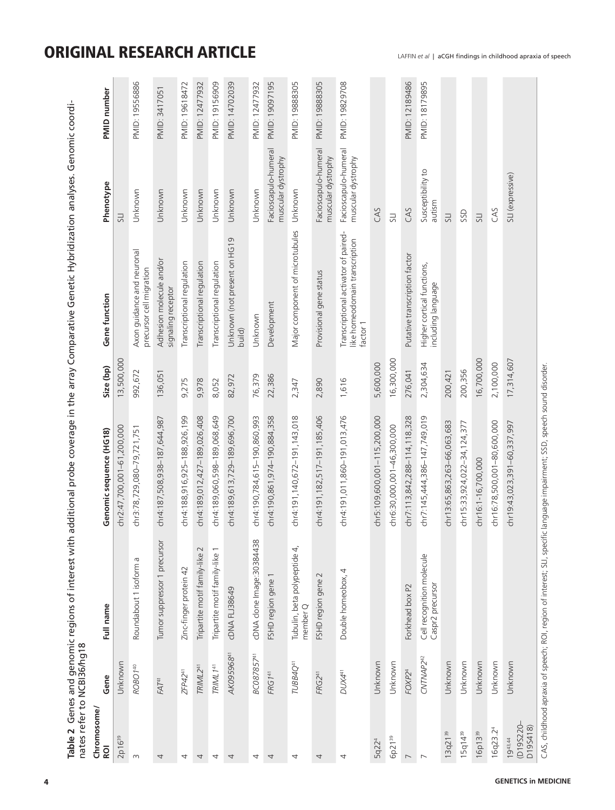|                                       | nates refer to NCB136/hg18 |                                               |                              |            |                                                                                    |                                            |                |
|---------------------------------------|----------------------------|-----------------------------------------------|------------------------------|------------|------------------------------------------------------------------------------------|--------------------------------------------|----------------|
| Chromosome,<br><b>ROI</b>             | Gene                       | Full name                                     | Genomic sequence (HG18)      | Size (bp)  | Gene function                                                                      | Phenotype                                  | PMID number    |
| 2p16 <sup>39</sup>                    | Unknown                    |                                               | chr2:47,700,001-61,200,000   | 13,500,000 |                                                                                    | 51                                         |                |
| $\sim$                                | ROBO <sub>140</sub>        | Roundabout 1 isoform a                        | chr3:78,729,080-79,721,751   | 992,672    | Axon guidance and neuronal<br>precursor cell migration                             | Unknown                                    | PMID: 19556886 |
| 4                                     | FAT <sup>41</sup>          | Tumor suppressor 1 precursor                  | chr4:187,508,938-187,644,987 | 136,051    | Adhesion molecule and/or<br>signaling receptor                                     | Unknown                                    | PMID: 3417051  |
| 4                                     | ZFP42 <sup>41</sup>        | Zinc-finger protein 42                        | chr4:188,916,925-188,926,199 | 9,275      | Transcriptional regulation                                                         | Unknown                                    | PMD: 19618472  |
| 4                                     | TRIML <sub>241</sub>       | Tripartite motif family-like 2                | chr4:189,012,427-189,026,408 | 9,978      | Transcriptional regulation                                                         | Unknown                                    | PMID: 12477932 |
| 4                                     | TRIML <sub>141</sub>       | Tripartite motif family-like 1                | chr4:189,060,598-189,068,649 | 8,052      | Transcriptional regulation                                                         | Unknown                                    | PMID: 19156909 |
| 4                                     | AK095968 <sup>41</sup>     | <b>CDNA FLJ38649</b>                          | chr4:189,613,729-189,696,700 | 82,972     | Unknown (not present on HG19<br>build)                                             | Unknown                                    | PMID: 14702039 |
| 4                                     | BC087857 <sup>41</sup>     | cDNA clone Image:30384438                     | chr4:190,784,615-190,860,993 | 76,379     | Unknown                                                                            | Unknown                                    | PMD: 12477932  |
| 4                                     | FRG141                     | FSHD region gene 1                            | chr4:190,861,974-190,884,358 | 22,386     | Development                                                                        | Facioscapulo-humeral<br>muscular dystrophy | PMID: 19097195 |
| 4                                     | TUBB4Q <sup>41</sup>       | Tubulin, beta polypeptide 4,<br>member Q      | chr4:191,140,672-191,143,018 | 2,347      | Major component of microtubules                                                    | Unknown                                    | PMD: 19888305  |
| 4                                     | FRG2 <sup>41</sup>         | FSHD region gene 2                            | chr4:191,182,517-191,185,406 | 2,890      | Provisional gene status                                                            | Facioscapulo-humeral<br>muscular dystrophy | PMID: 19888305 |
| 4                                     | DUX41                      | Double homeobox, 4                            | chr4:191,011,860-191,013,476 | 1,616      | Transcriptional activator of paired-<br>like homeodomain transcription<br>factor 1 | Facioscapulo-humeral<br>muscular dystrophy | PMID: 19829708 |
| 5q22 <sup>4</sup>                     | Unknown                    |                                               | chr5:109,600,001-115,200,000 | 5,600,000  |                                                                                    | CAS                                        |                |
| 6p21 <sup>39</sup>                    | Unknown                    |                                               | chr6:30,000,001-46,300,000   | 16,300,000 |                                                                                    | $\overline{5}$                             |                |
| $\overline{\phantom{0}}$              | FOXP <sub>24</sub>         | Forkhead box P2                               | chr7:113,842,288-114,118,328 | 276,041    | Putative transcription factor                                                      | CAS                                        | PMID: 12189486 |
| $\overline{ }$                        | CNTNAP2 <sup>42</sup>      | Cell recognition molecule<br>Caspr2 precursor | chr7:145,444,386-147,749,019 | 2,304,634  | Higher cortical functions,<br>including language                                   | Susceptibility to<br>autism                | PMD: 18179895  |
| 13q21 <sup>39</sup>                   | Unknown                    |                                               | chr13:65,863,263-66,063,683  | 200,421    |                                                                                    | 51                                         |                |
| 15q14 <sup>39</sup>                   | Unknown                    |                                               | chr15:33,924,022-34,124,377  | 200,356    |                                                                                    | SSD                                        |                |
| 16p13 <sup>39</sup>                   | Unknown                    |                                               | chr16:1-16,700,000           | 16,700,000 |                                                                                    | 51                                         |                |
| 16q23.24                              | Unknown                    |                                               | chr16:78,500,001-80,600,000  | 2,100,000  |                                                                                    | CAS                                        |                |
| (D19S220-<br>D19S418)<br>$19^{43,44}$ | Unknown                    |                                               | chr19:43,023,391-60,337,997  | 17,314,607 |                                                                                    | SLI (expressive)                           |                |

# <span id="page-3-0"></span>ORIGINAL RESEARCH ARTICLE LAFFIN et al | aCGH findings in childhood apraxia of speech

CAS, childhood apraxia of speech; ROI, region of interest; SLI, specific language impairment; SSD, speech sound disorder.

CAS, childhood apraxia of speech; ROI, region of interest; SLI, specific language impairment; SSD, speech sound disorder.

**Table 2** Genes and genomic regions of interest with additional probe coverage in the array Comparative Genetic Hybridization analyses. Genomic coordi-

Table 2 Genes and genomic regions of interest with additional probe coverage in the array Comparative Genetic Hybridization analyses. Genomic coordi-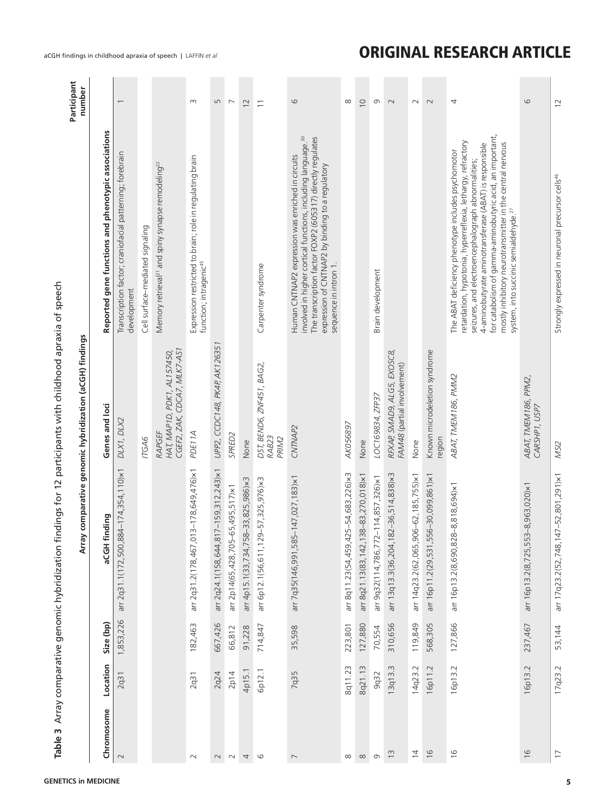|                          |          |           |                                       | Array comparative genomic hybridization (aCGH) findings              |                                                                                                                                                                                                                                                                                                                                                                                                                 | Participant<br>number    |
|--------------------------|----------|-----------|---------------------------------------|----------------------------------------------------------------------|-----------------------------------------------------------------------------------------------------------------------------------------------------------------------------------------------------------------------------------------------------------------------------------------------------------------------------------------------------------------------------------------------------------------|--------------------------|
| Chromosome               | Location | Size (bp) | aCGH finding                          | Genes and loci                                                       | Reported gene functions and phenotypic associations                                                                                                                                                                                                                                                                                                                                                             |                          |
| $\sim$                   | 2q31     | 1,853,226 | arr 2q31.1(172,500,884-174,354,110)×1 | DLX1, DLX2                                                           | Transcription factor; craniofacial patterning; forebrain<br>development                                                                                                                                                                                                                                                                                                                                         |                          |
|                          |          |           |                                       | 17GA6                                                                | Cell surface-mediated signaling                                                                                                                                                                                                                                                                                                                                                                                 |                          |
|                          |          |           |                                       | CGEF2, ZAK, CDCA7, MLK7-AS1<br>HAT, MAPID, PDK1, AL157450,<br>RAPGEF | Memory retrieval <sup>21</sup> and spiny synapse remodeling <sup>22</sup>                                                                                                                                                                                                                                                                                                                                       |                          |
| $\sim$                   | 2q31     | 182,463   | arr 2q31.2(178,467,013-178,649,476)×1 | PDE11A                                                               | Expression restricted to brain; role in regulating brain<br>function; intragenic <sup>45</sup>                                                                                                                                                                                                                                                                                                                  | $\infty$                 |
| $\sim$                   | 2q24     | 667,426   | arr 2q24.1(158,644,817-159,312,243)×1 | UPP2, CCDC148, PK4P, AK126351                                        |                                                                                                                                                                                                                                                                                                                                                                                                                 | LN                       |
| $\sim$                   | 2p14     | 66,812    | arr 2p14(65,428,705-65,495,517)×1     | SPRED <sub>2</sub>                                                   |                                                                                                                                                                                                                                                                                                                                                                                                                 | $\overline{\phantom{a}}$ |
| 4                        | 4p15.1   | 91,228    | arr 4p15.1(33,734,758-33,825,986)×3   | None                                                                 |                                                                                                                                                                                                                                                                                                                                                                                                                 | $\overline{C}$           |
| $\circ$                  | 6p12.1   | 714,847   | arr 6p12.1(56,611,129-57,325,976)×3   | DST, BEND6, ZNF451, BAG2,<br>RAB23<br>PRIM2                          | Carpenter syndrome                                                                                                                                                                                                                                                                                                                                                                                              | $\overline{\phantom{0}}$ |
| $\overline{\phantom{0}}$ | 7q35     | 35,598    | arr 7q35(146,991,585-147,027,183)×1   | CNTNAP2                                                              | involved in higher cortical functions, including language. <sup>30</sup><br>The transcription factor FOXP2 (605317) directly regulates<br>Human CNTNAP2 expression was enriched in circuits<br>expression of CNTNAP2 by binding to a regulatory<br>sequence in intron 1.                                                                                                                                        | 6                        |
| $\infty$                 | 8q11.23  | 223,801   | arr 8q11.23(54,459,425-54,683,226)×3  | AK056897                                                             |                                                                                                                                                                                                                                                                                                                                                                                                                 | ∞                        |
| $\infty$                 | 8q21.13  | 127,880   | arr 8q21.13(83,142,138-83,270,018)×1  | None                                                                 |                                                                                                                                                                                                                                                                                                                                                                                                                 | $\overline{0}$           |
| $\sigma$                 | 9q32     | 70,554    | arr 9q32(114,786,772-114,857,326)×1   | LOC169834, ZFP37                                                     | Brain development                                                                                                                                                                                                                                                                                                                                                                                               | G                        |
| $\tilde{c}$              | 13q13.3  | 310,656   | arr 13q13.3(36,204,182-36,514,838)×3  | RFXAP, SMAD9, ALG5, EXOSC8,<br>FAM48 (partial involvement)           |                                                                                                                                                                                                                                                                                                                                                                                                                 | $\sim$                   |
| $\overline{4}$           | 14q23.2  | 119,849   | arr 14q23.2(62,065,906-62,185,755)×1  | None                                                                 |                                                                                                                                                                                                                                                                                                                                                                                                                 | $\sim$                   |
| $\frac{1}{6}$            | 16p11.2  | 568,305   | arr 16p11.2(29,531,556-30,099,861)×1  | Known microdeletion syndrome<br>region                               |                                                                                                                                                                                                                                                                                                                                                                                                                 | $\sim$                   |
| $\frac{9}{1}$            | 16p13.2  | 127,866   | arr 16p13.2(8,690,828-8,818,694)×1    | ABAT, TMEM186, PMM2                                                  | for catabolism of gamma-aminobutyric acid, an important,<br>retardation, hypotonia, hyperreflexia, lethargy, refractory<br>mostly inhibitory neurotransmitter in the central nervous<br>4-aminobutyrate aminotransferase (ABAT) is responsible<br>The ABAT deficiency phenotype includes psychomotor<br>seizures, and electroencephalograph abnormalities;<br>system, into succinic semialdehyde. <sup>27</sup> | 4                        |
| $\frac{6}{2}$            | 16p13.2  | 237,467   | arr 16p13.2(8,725,553-8,963,020)×1    | ABAT, TMEM186, PPM2,<br>CARSHP1, USP7                                |                                                                                                                                                                                                                                                                                                                                                                                                                 | $\circ$                  |
| $\overline{1}$           | 17q23.2  | 53,144    | arr 17q23.2(52,748,147-52,801,291)×1  | MSI <sub>2</sub>                                                     | Strongly expressed in neuronal precursor cells <sup>46</sup>                                                                                                                                                                                                                                                                                                                                                    | $\overline{2}$           |

# <span id="page-4-0"></span>aCGH findings in childhood apraxia of speech | LAFFIN *et al* **CHARGH ARTICLE**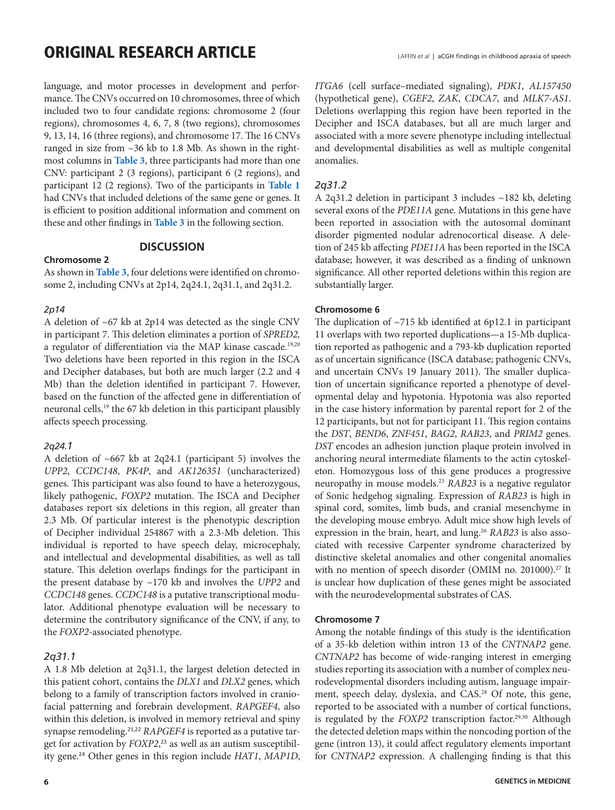# ORIGINAL RESEARCH ARTICLE LAFFIN *et al* | aCGH findings in childhood apraxia of speech

language, and motor processes in development and performance. The CNVs occurred on 10 chromosomes, three of which included two to four candidate regions: chromosome 2 (four regions), chromosomes 4, 6, 7, 8 (two regions), chromosomes 9, 13, 14, 16 (three regions), and chromosome 17. The 16 CNVs ranged in size from ~36 kb to 1.8 Mb. As shown in the rightmost columns in **[Table 3](#page-4-0)**, three participants had more than one CNV: participant 2 (3 regions), participant 6 (2 regions), and participant 12 (2 regions). Two of the participants in **[Table 1](#page-1-0)** had CNVs that included deletions of the same gene or genes. It is efficient to position additional information and comment on these and other findings in **[Table 3](#page-4-0)** in the following section.

### **DISCUSSION**

### **Chromosome 2**

As shown in **[Table 3](#page-4-0)**, four deletions were identified on chromosome 2, including CNVs at 2p14, 2q24.1, 2q31.1, and 2q31.2.

#### *2p14*

A deletion of ~67 kb at 2p14 was detected as the single CNV in participant 7. This deletion eliminates a portion of *SPRED2,* a regulator of differentiation via the MAP kinase cascade.<sup>19,20</sup> Two deletions have been reported in this region in the ISCA and Decipher databases, but both are much larger (2.2 and 4 Mb) than the deletion identified in participant 7. However, based on the function of the affected gene in differentiation of neuronal cells,<sup>19</sup> the 67 kb deletion in this participant plausibly affects speech processing.

#### *2q24.1*

A deletion of ~667 kb at 2q24.1 (participant 5) involves the *UPP2*, *CCDC148*, *PK4P*, and *AK126351* (uncharacterized) genes. This participant was also found to have a heterozygous, likely pathogenic, *FOXP2* mutation. The ISCA and Decipher databases report six deletions in this region, all greater than 2.3 Mb. Of particular interest is the phenotypic description of Decipher individual 254867 with a 2.3-Mb deletion. This individual is reported to have speech delay, microcephaly, and intellectual and developmental disabilities, as well as tall stature. This deletion overlaps findings for the participant in the present database by ~170 kb and involves the *UPP2* and *CCDC148* genes. *CCDC148* is a putative transcriptional modulator. Additional phenotype evaluation will be necessary to determine the contributory significance of the CNV, if any, to the *FOXP2-*associated phenotype.

#### *2q31.1*

A 1.8 Mb deletion at 2q31.1, the largest deletion detected in this patient cohort, contains the *DLX1* and *DLX2* genes, which belong to a family of transcription factors involved in craniofacial patterning and forebrain development. *RAPGEF4*, also within this deletion, is involved in memory retrieval and spiny synapse remodeling.<sup>21,22</sup> *RAPGEF4* is reported as a putative target for activation by *FOXP2*, 23 as well as an autism susceptibility gene.<sup>24</sup> Other genes in this region include *HAT1*, *MAP1D*, *ITGA6* (cell surface–mediated signaling), *PDK1*, *AL157450* (hypothetical gene), *CGEF2*, *ZAK*, *CDCA7*, and *MLK7-AS1*. Deletions overlapping this region have been reported in the Decipher and ISCA databases, but all are much larger and associated with a more severe phenotype including intellectual and developmental disabilities as well as multiple congenital anomalies.

### *2q31.2*

A 2q31.2 deletion in participant 3 includes ~182 kb, deleting several exons of the *PDE11A* gene. Mutations in this gene have been reported in association with the autosomal dominant disorder pigmented nodular adrenocortical disease. A deletion of 245 kb affecting *PDE11A* has been reported in the ISCA database; however, it was described as a finding of unknown significance. All other reported deletions within this region are substantially larger.

#### **Chromosome 6**

The duplication of  $~15$  kb identified at 6p12.1 in participant 11 overlaps with two reported duplications—a 15-Mb duplication reported as pathogenic and a 793-kb duplication reported as of uncertain significance (ISCA database; pathogenic CNVs, and uncertain CNVs 19 January 2011). The smaller duplication of uncertain significance reported a phenotype of developmental delay and hypotonia. Hypotonia was also reported in the case history information by parental report for 2 of the 12 participants, but not for participant 11. This region contains the *DST*, *BEND6*, *ZNF451*, *BAG2*, *RAB23*, and *PRIM2* genes. *DST* encodes an adhesion junction plaque protein involved in anchoring neural intermediate filaments to the actin cytoskeleton. Homozygous loss of this gene produces a progressive neuropathy in mouse models.25 *RAB23* is a negative regulator of Sonic hedgehog signaling. Expression of *RAB23* is high in spinal cord, somites, limb buds, and cranial mesenchyme in the developing mouse embryo. Adult mice show high levels of expression in the brain, heart, and lung.<sup>26</sup> *RAB23* is also associated with recessive Carpenter syndrome characterized by distinctive skeletal anomalies and other congenital anomalies with no mention of speech disorder (OMIM no. 201000).<sup>27</sup> It is unclear how duplication of these genes might be associated with the neurodevelopmental substrates of CAS.

#### **Chromosome 7**

Among the notable findings of this study is the identification of a 35-kb deletion within intron 13 of the *CNTNAP2* gene. *CNTNAP2* has become of wide-ranging interest in emerging studies reporting its association with a number of complex neurodevelopmental disorders including autism, language impairment, speech delay, dyslexia, and CAS.<sup>28</sup> Of note, this gene, reported to be associated with a number of cortical functions, is regulated by the *FOXP2* transcription factor.<sup>29,30</sup> Although the detected deletion maps within the noncoding portion of the gene (intron 13), it could affect regulatory elements important for *CNTNAP2* expression. A challenging finding is that this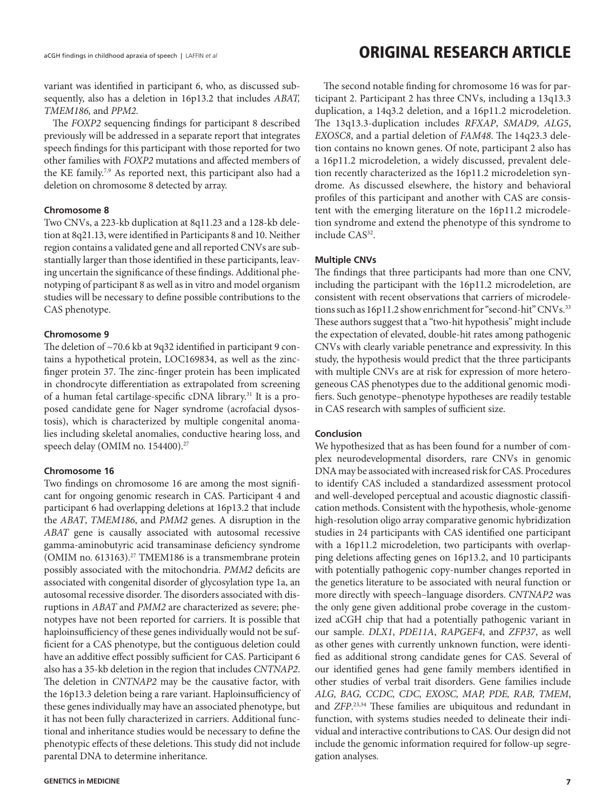variant was identified in participant 6, who, as discussed subsequently, also has a deletion in 16p13.2 that includes *ABAT, TMEM186,* and *PPM2.*

The *FOXP2* sequencing findings for participant 8 described previously will be addressed in a separate report that integrates speech findings for this participant with those reported for two other families with *FOXP2* mutations and affected members of the KE family.<sup>7,9</sup> As reported next, this participant also had a deletion on chromosome 8 detected by array.

#### **Chromosome 8**

Two CNVs, a 223-kb duplication at 8q11.23 and a 128-kb deletion at 8q21.13, were identified in Participants 8 and 10. Neither region contains a validated gene and all reported CNVs are substantially larger than those identified in these participants, leaving uncertain the significance of these findings. Additional phenotyping of participant 8 as well as in vitro and model organism studies will be necessary to define possible contributions to the CAS phenotype.

#### **Chromosome 9**

The deletion of ~70.6 kb at 9q32 identified in participant 9 contains a hypothetical protein, LOC169834, as well as the zincfinger protein 37. The zinc-finger protein has been implicated in chondrocyte differentiation as extrapolated from screening of a human fetal cartilage-specific cDNA library.31 It is a proposed candidate gene for Nager syndrome (acrofacial dysostosis), which is characterized by multiple congenital anomalies including skeletal anomalies, conductive hearing loss, and speech delay (OMIM no. 154400).<sup>27</sup>

#### **Chromosome 16**

Two findings on chromosome 16 are among the most significant for ongoing genomic research in CAS. Participant 4 and participant 6 had overlapping deletions at 16p13.2 that include the *ABAT*, *TMEM186*, and *PMM2* genes. A disruption in the *ABAT* gene is causally associated with autosomal recessive gamma-aminobutyric acid transaminase deficiency syndrome (OMIM no. 613163).<sup>27</sup> TMEM186 is a transmembrane protein possibly associated with the mitochondria. *PMM2* deficits are associated with congenital disorder of glycosylation type 1a, an autosomal recessive disorder. The disorders associated with disruptions in *ABAT* and *PMM2* are characterized as severe; phenotypes have not been reported for carriers. It is possible that haploinsufficiency of these genes individually would not be sufficient for a CAS phenotype, but the contiguous deletion could have an additive effect possibly sufficient for CAS. Participant 6 also has a 35-kb deletion in the region that includes *CNTNAP2*. The deletion in *CNTNAP2* may be the causative factor, with the 16p13.3 deletion being a rare variant. Haploinsufficiency of these genes individually may have an associated phenotype, but it has not been fully characterized in carriers. Additional functional and inheritance studies would be necessary to define the phenotypic effects of these deletions. This study did not include parental DNA to determine inheritance.

# aCGH findings in childhood apraxia of speech | LAFFIN *et al* **CHARCH ARTICLE**

The second notable finding for chromosome 16 was for participant 2. Participant 2 has three CNVs, including a 13q13.3 duplication, a 14q3.2 deletion, and a 16p11.2 microdeletion. The 13q13.3-duplication includes *RFXAP*, *SMAD9*, *ALG5*, *EXOSC8*, and a partial deletion of *FAM48*. The 14q23.3 deletion contains no known genes. Of note, participant 2 also has a 16p11.2 microdeletion, a widely discussed, prevalent deletion recently characterized as the 16p11.2 microdeletion syndrome. As discussed elsewhere, the history and behavioral profiles of this participant and another with CAS are consistent with the emerging literature on the 16p11.2 microdeletion syndrome and extend the phenotype of this syndrome to include CAS<sup>32</sup>.

### **Multiple CNVs**

The findings that three participants had more than one CNV, including the participant with the 16p11.2 microdeletion, are consistent with recent observations that carriers of microdeletions such as 16p11.2 show enrichment for "second-hit" CNVs.<sup>33</sup> These authors suggest that a "two-hit hypothesis" might include the expectation of elevated, double-hit rates among pathogenic CNVs with clearly variable penetrance and expressivity. In this study, the hypothesis would predict that the three participants with multiple CNVs are at risk for expression of more heterogeneous CAS phenotypes due to the additional genomic modifiers. Such genotype–phenotype hypotheses are readily testable in CAS research with samples of sufficient size.

#### **Conclusion**

We hypothesized that as has been found for a number of complex neurodevelopmental disorders, rare CNVs in genomic DNA may be associated with increased risk for CAS. Procedures to identify CAS included a standardized assessment protocol and well-developed perceptual and acoustic diagnostic classification methods. Consistent with the hypothesis, whole-genome high-resolution oligo array comparative genomic hybridization studies in 24 participants with CAS identified one participant with a 16p11.2 microdeletion, two participants with overlapping deletions affecting genes on 16p13.2, and 10 participants with potentially pathogenic copy-number changes reported in the genetics literature to be associated with neural function or more directly with speech–language disorders. *CNTNAP2* was the only gene given additional probe coverage in the customized aCGH chip that had a potentially pathogenic variant in our sample. *DLX1*, *PDE11A*, *RAPGEF4*, and *ZFP37*, as well as other genes with currently unknown function, were identified as additional strong candidate genes for CAS. Several of our identified genes had gene family members identified in other studies of verbal trait disorders. Gene families include *ALG, BAG, CCDC, CDC, EXOSC, MAP, PDE, RAB, TMEM*, and *ZFP*. 23,34 These families are ubiquitous and redundant in function, with systems studies needed to delineate their individual and interactive contributions to CAS. Our design did not include the genomic information required for follow-up segregation analyses.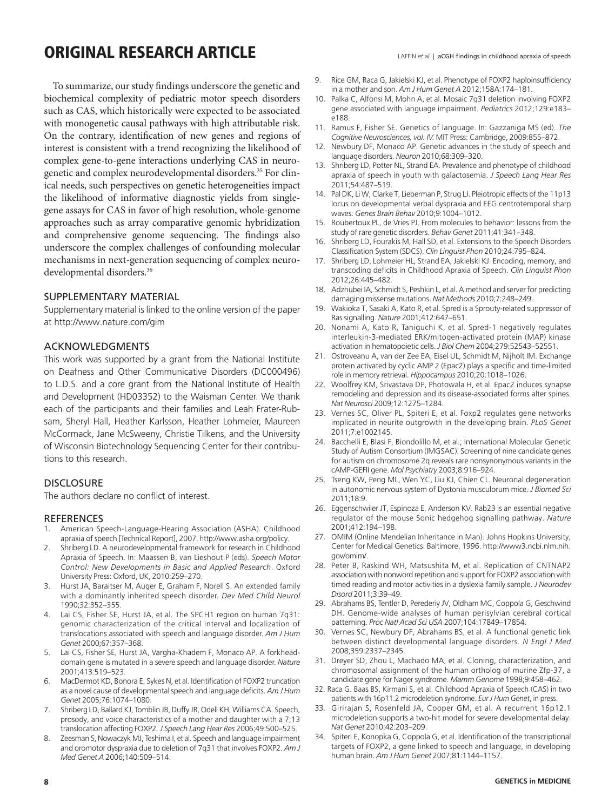# ORIGINAL RESEARCH ARTICLE LAFFIN *et al* | aCGH findings in childhood apraxia of speech

To summarize, our study findings underscore the genetic and biochemical complexity of pediatric motor speech disorders such as CAS, which historically were expected to be associated with monogenetic causal pathways with high attributable risk. On the contrary, identification of new genes and regions of interest is consistent with a trend recognizing the likelihood of complex gene-to-gene interactions underlying CAS in neurogenetic and complex neurodevelopmental disorders.<sup>35</sup> For clinical needs, such perspectives on genetic heterogeneities impact the likelihood of informative diagnostic yields from singlegene assays for CAS in favor of high resolution, whole-genome approaches such as array comparative genomic hybridization and comprehensive genome sequencing. The findings also underscore the complex challenges of confounding molecular mechanisms in next-generation sequencing of complex neurodevelopmental disorders.<sup>36</sup>

### SUPPLEMENTARY MATERIAL

Supplementary material is linked to the online version of the paper at http://www.nature.com/gim

### ACKNOWLEDGMENTS

This work was supported by a grant from the National Institute on Deafness and Other Communicative Disorders (DC000496) to L.D.S. and a core grant from the National Institute of Health and Development (HD03352) to the Waisman Center. We thank each of the participants and their families and Leah Frater-Rubsam, Sheryl Hall, Heather Karlsson, Heather Lohmeier, Maureen McCormack, Jane McSweeny, Christie Tilkens, and the University of Wisconsin Biotechnology Sequencing Center for their contributions to this research.

#### **DISCLOSURE**

The authors declare no conflict of interest.

#### **REFERENCES**

- 1. American Speech-Language-Hearing Association (ASHA). Childhood apraxia of speech [Technical Report], 2007. http://www.asha.org/policy.
- 2. Shriberg LD. A neurodevelopmental framework for research in Childhood Apraxia of Speech. In: Maassen B, van Lieshout P (eds). *Speech Motor Control: New Developments in Basic and Applied Research*. Oxford University Press: Oxford, UK, 2010:259–270.
- 3. Hurst JA, Baraitser M, Auger E, Graham F, Norell S. An extended family with a dominantly inherited speech disorder. *Dev Med Child Neurol* 1990;32:352–355.
- 4. Lai CS, Fisher SE, Hurst JA, et al. The SPCH1 region on human 7q31: genomic characterization of the critical interval and localization of translocations associated with speech and language disorder. *Am J Hum Genet* 2000;67:357–368.
- 5. Lai CS, Fisher SE, Hurst JA, Vargha-Khadem F, Monaco AP. A forkheaddomain gene is mutated in a severe speech and language disorder. *Nature* 2001;413:519–523.
- 6. MacDermot KD, Bonora E, Sykes N, et al. Identification of FOXP2 truncation as a novel cause of developmental speech and language deficits.*Am J Hum Genet* 2005;76:1074–1080.
- 7. Shriberg LD, Ballard KJ, Tomblin JB, Duffy JR, Odell KH, Williams CA. Speech, prosody, and voice characteristics of a mother and daughter with a 7;13 translocation affecting FOXP2. *J Speech Lang Hear Res* 2006;49:500–525.
- 8. Zeesman S, Nowaczyk MJ, Teshima I, et al. Speech and language impairment and oromotor dyspraxia due to deletion of 7q31 that involves FOXP2. *Am J Med Genet A* 2006;140:509–514.
- 9. Rice GM, Raca G, Jakielski KJ, et al. Phenotype of FOXP2 haploinsufficiency in a mother and son. *Am J Hum Genet A* 2012;158A:174–181.
- 10. Palka C, Alfonsi M, Mohn A, et al. Mosaic 7q31 deletion involving FOXP2 gene associated with language impairment. *Pediatrics* 2012;129:e183– e188.
- 11. Ramus F, Fisher SE. Genetics of language. In: Gazzaniga MS (ed). *The Cognitive Neurosciences, vol. IV.* MIT Press: Cambridge, 2009:855–872.
- 12. Newbury DF, Monaco AP. Genetic advances in the study of speech and language disorders. *Neuron* 2010;68:309–320.
- 13. Shriberg LD, Potter NL, Strand EA. Prevalence and phenotype of childhood apraxia of speech in youth with galactosemia. *J Speech Lang Hear Res* 2011;54:487–519.
- 14. Pal DK, Li W, Clarke T, Lieberman P, Strug LJ. Pleiotropic effects of the 11p13 locus on developmental verbal dyspraxia and EEG centrotemporal sharp waves. *Genes Brain Behav* 2010;9:1004–1012.
- 15. Roubertoux PL, de Vries PJ. From molecules to behavior: lessons from the study of rare genetic disorders. *Behav Genet* 2011;41:341–348.
- 16. Shriberg LD, Fourakis M, Hall SD, et al. Extensions to the Speech Disorders Classification System (SDCS). *Clin Linguist Phon* 2010;24:795–824.
- 17. Shriberg LD, Lohmeier HL, Strand EA, Jakielski KJ. Encoding, memory, and transcoding deficits in Childhood Apraxia of Speech. *Clin Linguist Phon* 2012;26:445–482.
- 18. Adzhubei IA, Schmidt S, Peshkin L, et al. A method and server for predicting damaging missense mutations. *Nat Methods* 2010;7:248–249.
- 19. Wakioka T, Sasaki A, Kato R, et al. Spred is a Sprouty-related suppressor of Ras signalling. *Nature* 2001;412:647–651.
- 20. Nonami A, Kato R, Taniguchi K, et al. Spred-1 negatively regulates interleukin-3-mediated ERK/mitogen-activated protein (MAP) kinase activation in hematopoietic cells. *J Biol Chem* 2004;279:52543–52551.
- 21. Ostroveanu A, van der Zee EA, Eisel UL, Schmidt M, Nijholt IM. Exchange protein activated by cyclic AMP 2 (Epac2) plays a specific and time-limited role in memory retrieval. *Hippocampus* 2010;20:1018–1026.
- 22. Woolfrey KM, Srivastava DP, Photowala H, et al. Epac2 induces synapse remodeling and depression and its disease-associated forms alter spines. *Nat Neurosci* 2009;12:1275–1284.
- 23. Vernes SC, Oliver PL, Spiteri E, et al. Foxp2 regulates gene networks implicated in neurite outgrowth in the developing brain. *PLoS Genet* 2011;7:e1002145.
- 24. Bacchelli E, Blasi F, Biondolillo M, et al.; International Molecular Genetic Study of Autism Consortium (IMGSAC). Screening of nine candidate genes for autism on chromosome 2q reveals rare nonsynonymous variants in the cAMP-GEFII gene. *Mol Psychiatry* 2003;8:916–924.
- 25. Tseng KW, Peng ML, Wen YC, Liu KJ, Chien CL. Neuronal degeneration in autonomic nervous system of Dystonia musculorum mice. *J Biomed Sci* 2011;18:9.
- 26. Eggenschwiler JT, Espinoza E, Anderson KV. Rab23 is an essential negative regulator of the mouse Sonic hedgehog signalling pathway. *Nature* 2001;412:194–198.
- 27. OMIM (Online Mendelian Inheritance in Man). Johns Hopkins University, Center for Medical Genetics: Baltimore, 1996. http://www3.ncbi.nlm.nih. gov/omim/.
- 28. Peter B, Raskind WH, Matsushita M, et al. Replication of CNTNAP2 association with nonword repetition and support for FOXP2 association with timed reading and motor activities in a dyslexia family sample. *J Neurodev Disord* 2011;3:39–49.
- 29. Abrahams BS, Tentler D, Perederiy JV, Oldham MC, Coppola G, Geschwind DH. Genome-wide analyses of human perisylvian cerebral cortical patterning. *Proc Natl Acad Sci USA* 2007;104:17849–17854.
- 30. Vernes SC, Newbury DF, Abrahams BS, et al. A functional genetic link between distinct developmental language disorders. *N Engl J Med* 2008;359:2337–2345.
- 31. Dreyer SD, Zhou L, Machado MA, et al. Cloning, characterization, and chromosomal assignment of the human ortholog of murine Zfp-37, a candidate gene for Nager syndrome. *Mamm Genome* 1998;9:458–462.
- 32. Raca G. Baas BS, Kirmani S, et al. Childhood Apraxia of Speech (CAS) in two patients with 16p11.2 microdeletion syndrome. *Eur J Hum Genet*, in press.
- 33. Girirajan S, Rosenfeld JA, Cooper GM, et al. A recurrent 16p12.1 microdeletion supports a two-hit model for severe developmental delay. *Nat Genet* 2010;42:203–209.
- 34. Spiteri E, Konopka G, Coppola G, et al. Identification of the transcriptional targets of FOXP2, a gene linked to speech and language, in developing human brain. *Am J Hum Genet* 2007;81:1144–1157.